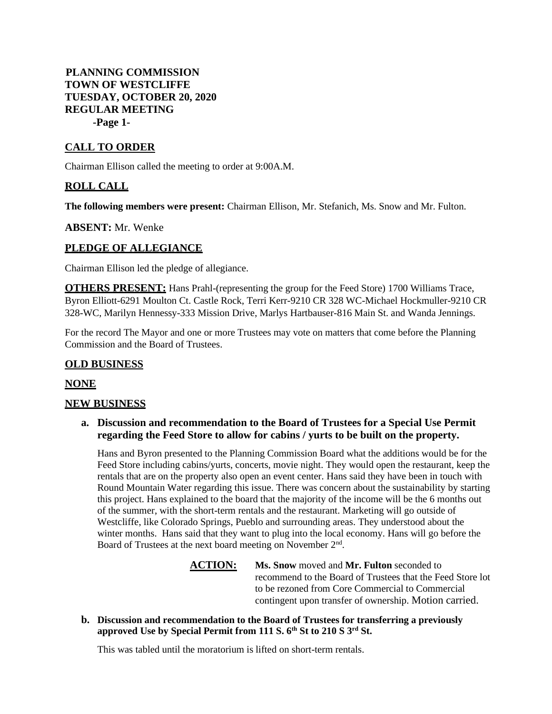## **PLANNING COMMISSION TOWN OF WESTCLIFFE TUESDAY, OCTOBER 20, 2020 REGULAR MEETING -Page 1-**

## **CALL TO ORDER**

Chairman Ellison called the meeting to order at 9:00A.M.

# **ROLL CALL**

**The following members were present:** Chairman Ellison, Mr. Stefanich, Ms. Snow and Mr. Fulton.

**ABSENT:** Mr. Wenke

## **PLEDGE OF ALLEGIANCE**

Chairman Ellison led the pledge of allegiance.

**OTHERS PRESENT:** Hans Prahl-(representing the group for the Feed Store) 1700 Williams Trace, Byron Elliott-6291 Moulton Ct. Castle Rock, Terri Kerr-9210 CR 328 WC-Michael Hockmuller-9210 CR 328-WC, Marilyn Hennessy-333 Mission Drive, Marlys Hartbauser-816 Main St. and Wanda Jennings.

For the record The Mayor and one or more Trustees may vote on matters that come before the Planning Commission and the Board of Trustees.

### **OLD BUSINESS**

### **NONE**

#### **NEW BUSINESS**

**a. Discussion and recommendation to the Board of Trustees for a Special Use Permit regarding the Feed Store to allow for cabins / yurts to be built on the property.**

Hans and Byron presented to the Planning Commission Board what the additions would be for the Feed Store including cabins/yurts, concerts, movie night. They would open the restaurant, keep the rentals that are on the property also open an event center. Hans said they have been in touch with Round Mountain Water regarding this issue. There was concern about the sustainability by starting this project. Hans explained to the board that the majority of the income will be the 6 months out of the summer, with the short-term rentals and the restaurant. Marketing will go outside of Westcliffe, like Colorado Springs, Pueblo and surrounding areas. They understood about the winter months. Hans said that they want to plug into the local economy. Hans will go before the Board of Trustees at the next board meeting on November 2<sup>nd</sup>.

- **ACTION: Ms. Snow** moved and **Mr. Fulton** seconded to recommend to the Board of Trustees that the Feed Store lot to be rezoned from Core Commercial to Commercial contingent upon transfer of ownership. Motion carried.
- **b. Discussion and recommendation to the Board of Trustees for transferring a previously approved Use by Special Permit from 111 S. 6th St to 210 S 3rd St.**

This was tabled until the moratorium is lifted on short-term rentals.